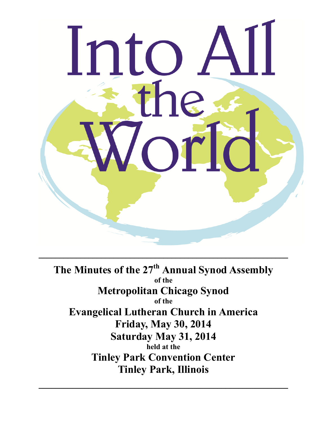

**The Minutes of the 27 th Annual Synod Assembly of the Metropolitan Chicago Synod of the Evangelical Lutheran Church in America Friday, May 30, 2014 Saturday May 31, 2014 held at the Tinley Park Convention Center Tinley Park, Illinois**

 $\mathcal{L}_\text{max} = \mathcal{L}_\text{max} = \mathcal{L}_\text{max} = \mathcal{L}_\text{max} = \mathcal{L}_\text{max} = \mathcal{L}_\text{max} = \mathcal{L}_\text{max} = \mathcal{L}_\text{max} = \mathcal{L}_\text{max} = \mathcal{L}_\text{max} = \mathcal{L}_\text{max} = \mathcal{L}_\text{max} = \mathcal{L}_\text{max} = \mathcal{L}_\text{max} = \mathcal{L}_\text{max} = \mathcal{L}_\text{max} = \mathcal{L}_\text{max} = \mathcal{L}_\text{max} = \mathcal{$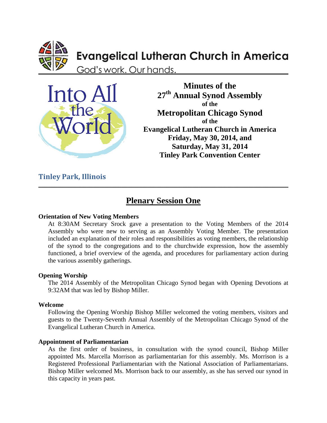

# **Evangelical Lutheran Church in America**

God's work. Our hands.



**Minutes of the 27 th Annual Synod Assembly of the Metropolitan Chicago Synod of the Evangelical Lutheran Church in America Friday, May 30, 2014, and Saturday, May 31, 2014 Tinley Park Convention Center**

### **Tinley Park, Illinois**

## **Plenary Session One**

 $\_$  , and the set of the set of the set of the set of the set of the set of the set of the set of the set of the set of the set of the set of the set of the set of the set of the set of the set of the set of the set of th

#### **Orientation of New Voting Members**

At 8:30AM Secretary Srock gave a presentation to the Voting Members of the 2014 Assembly who were new to serving as an Assembly Voting Member. The presentation included an explanation of their roles and responsibilities as voting members, the relationship of the synod to the congregations and to the churchwide expression, how the assembly functioned, a brief overview of the agenda, and procedures for parliamentary action during the various assembly gatherings.

#### **Opening Worship**

The 2014 Assembly of the Metropolitan Chicago Synod began with Opening Devotions at 9:32AM that was led by Bishop Miller.

#### **Welcome**

Following the Opening Worship Bishop Miller welcomed the voting members, visitors and guests to the Twenty-Seventh Annual Assembly of the Metropolitan Chicago Synod of the Evangelical Lutheran Church in America.

### **Appointment of Parliamentarian**

As the first order of business, in consultation with the synod council, Bishop Miller appointed Ms. Marcella Morrison as parliamentarian for this assembly. Ms. Morrison is a Registered Professional Parliamentarian with the National Association of Parliamentarians. Bishop Miller welcomed Ms. Morrison back to our assembly, as she has served our synod in this capacity in years past.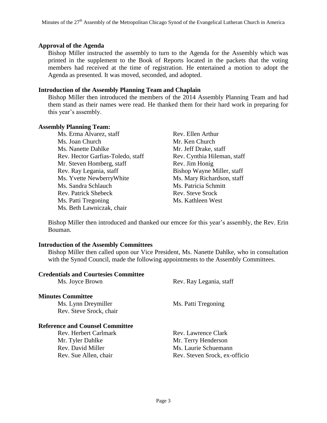#### **Approval of the Agenda**

Bishop Miller instructed the assembly to turn to the Agenda for the Assembly which was printed in the supplement to the Book of Reports located in the packets that the voting members had received at the time of registration. He entertained a motion to adopt the Agenda as presented. It was moved, seconded, and adopted.

#### **Introduction of the Assembly Planning Team and Chaplain**

Bishop Miller then introduced the members of the 2014 Assembly Planning Team and had them stand as their names were read. He thanked them for their hard work in preparing for this year's assembly.

#### **Assembly Planning Team:**

Ms. Erma Alvarez, staff Rev. Ellen Arthur Ms. Joan Church Mr. Ken Church Ms. Nanette Dahlke Mr. Jeff Drake, staff Rev. Hector Garfias-Toledo, staff Rev. Cynthia Hileman, staff Mr. Steven Homberg, staff Rev. Jim Honig Rev. Ray Legania, staff Bishop Wayne Miller, staff Ms. Yvette NewberryWhite Ms. Mary Richardson, staff Ms. Sandra Schlauch Ms. Patricia Schmitt Rev. Patrick Shebeck Rev. Steve Srock Ms. Patti Tregoning Ms. Kathleen West Ms. Beth Lawniczak, chair

Bishop Miller then introduced and thanked our emcee for this year's assembly, the Rev. Erin Bouman.

#### **Introduction of the Assembly Committees**

Bishop Miller then called upon our Vice President, Ms. Nanette Dahlke, who in consultation with the Synod Council, made the following appointments to the Assembly Committees.

| Rev. Ray Legania, staff       |
|-------------------------------|
|                               |
| Ms. Patti Tregoning           |
|                               |
|                               |
| Rev. Lawrence Clark           |
| Mr. Terry Henderson           |
| Ms. Laurie Schuemann          |
| Rev. Steven Srock, ex-officio |
|                               |
|                               |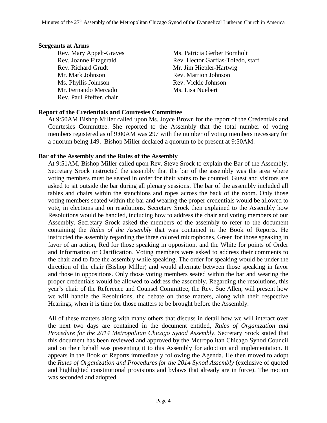#### **Sergeants at Arms**

Rev. Richard Grudt Mr. Jim Hiepler-Hartwig Mr. Mark Johnson Rev. Marrion Johnson Ms. Phyllis Johnson Rev. Vickie Johnson Mr. Fernando Mercado Ms. Lisa Nuebert Rev. Paul Pfeffer, chair

Rev. Mary Appelt-Graves Ms. Patricia Gerber Bornholt Rev. Joanne Fitzgerald Rev. Hector Garfias-Toledo, staff

### **Report of the Credentials and Courtesies Committee**

At 9:50AM Bishop Miller called upon Ms. Joyce Brown for the report of the Credentials and Courtesies Committee. She reported to the Assembly that the total number of voting members registered as of 9:00AM was 297 with the number of voting members necessary for a quorum being 149. Bishop Miller declared a quorum to be present at 9:50AM.

#### **Bar of the Assembly and the Rules of the Assembly**

At 9:51AM, Bishop Miller called upon Rev. Steve Srock to explain the Bar of the Assembly. Secretary Srock instructed the assembly that the bar of the assembly was the area where voting members must be seated in order for their votes to be counted. Guest and visitors are asked to sit outside the bar during all plenary sessions. The bar of the assembly included all tables and chairs within the stanchions and ropes across the back of the room. Only those voting members seated within the bar and wearing the proper credentials would be allowed to vote, in elections and on resolutions. Secretary Srock then explained to the Assembly how Resolutions would be handled, including how to address the chair and voting members of our Assembly. Secretary Srock asked the members of the assembly to refer to the document containing the *Rules of the Assembly* that was contained in the Book of Reports. He instructed the assembly regarding the three colored microphones, Green for those speaking in favor of an action, Red for those speaking in opposition, and the White for points of Order and Information or Clarification. Voting members were asked to address their comments to the chair and to face the assembly while speaking. The order for speaking would be under the direction of the chair (Bishop Miller) and would alternate between those speaking in favor and those in oppositions. Only those voting members seated within the bar and wearing the proper credentials would be allowed to address the assembly. Regarding the resolutions, this year's chair of the Reference and Counsel Committee, the Rev. Sue Allen, will present how we will handle the Resolutions, the debate on those matters, along with their respective Hearings, when it is time for those matters to be brought before the Assembly.

All of these matters along with many others that discuss in detail how we will interact over the next two days are contained in the document entitled, *Rules of Organization and Procedure for the 2014 Metropolitan Chicago Synod Assembly*. Secretary Srock stated that this document has been reviewed and approved by the Metropolitan Chicago Synod Council and on their behalf was presenting it to this Assembly for adoption and implementation. It appears in the Book or Reports immediately following the Agenda. He then moved to adopt the *Rules of Organization and Procedures for the 2014 Synod Assembly* (exclusive of quoted and highlighted constitutional provisions and bylaws that already are in force). The motion was seconded and adopted.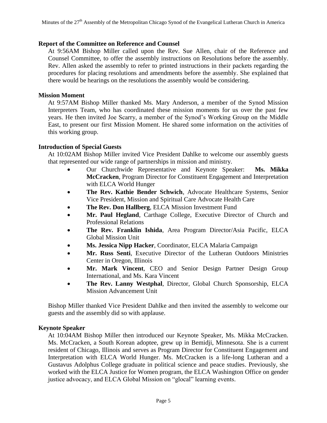#### **Report of the Committee on Reference and Counsel**

At 9:56AM Bishop Miller called upon the Rev. Sue Allen, chair of the Reference and Counsel Committee, to offer the assembly instructions on Resolutions before the assembly. Rev. Allen asked the assembly to refer to printed instructions in their packets regarding the procedures for placing resolutions and amendments before the assembly. She explained that there would be hearings on the resolutions the assembly would be considering.

#### **Mission Moment**

At 9:57AM Bishop Miller thanked Ms. Mary Anderson, a member of the Synod Mission Interpreters Team, who has coordinated these mission moments for us over the past few years. He then invited Joe Scarry, a member of the Synod's Working Group on the Middle East, to present our first Mission Moment. He shared some information on the activities of this working group.

#### **Introduction of Special Guests**

At 10:02AM Bishop Miller invited Vice President Dahlke to welcome our assembly guests that represented our wide range of partnerships in mission and ministry.

- Our Churchwide Representative and Keynote Speaker: **Ms. Mikka McCracken**, Program Director for Constituent Engagement and Interpretation with ELCA World Hunger
- **The Rev. Kathie Bender Schwich**, Advocate Healthcare Systems, Senior Vice President, Mission and Spiritual Care Advocate Health Care
- **The Rev. Don Hallberg**, ELCA Mission Investment Fund
- Mr. Paul Hegland, Carthage College, Executive Director of Church and Professional Relations
- **The Rev. Franklin Ishida**, Area Program Director/Asia Pacific, ELCA Global Mission Unit
- **Ms. Jessica Nipp Hacker**, Coordinator, ELCA Malaria Campaign
- **Mr. Russ Senti**, Executive Director of the Lutheran Outdoors Ministries Center in Oregon, Illinois
- **Mr. Mark Vincent**, CEO and Senior Design Partner Design Group International, and Ms. Kara Vincent
- **The Rev. Lanny Westphal**, Director, Global Church Sponsorship, ELCA Mission Advancement Unit

Bishop Miller thanked Vice President Dahlke and then invited the assembly to welcome our guests and the assembly did so with applause.

#### **Keynote Speaker**

At 10:04AM Bishop Miller then introduced our Keynote Speaker, Ms. Mikka McCracken. Ms. McCracken, a South Korean adoptee, grew up in Bemidji, Minnesota. She is a current resident of Chicago, Illinois and serves as Program Director for Constituent Engagement and Interpretation with ELCA World Hunger. Ms. McCracken is a life-long Lutheran and a Gustavus Adolphus College graduate in political science and peace studies. Previously, she worked with the ELCA Justice for Women program, the ELCA Washington Office on gender justice advocacy, and ELCA Global Mission on "glocal" learning events.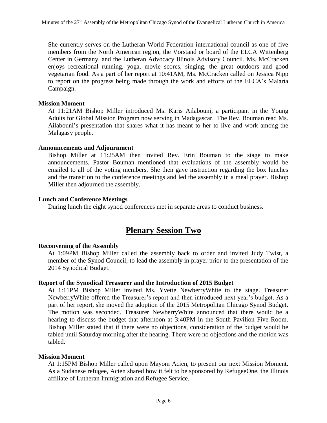She currently serves on the Lutheran World Federation international council as one of five members from the North American region, the Vorstand or board of the ELCA Wittenberg Center in Germany, and the Lutheran Advocacy Illinois Advisory Council. Ms. McCracken enjoys recreational running, yoga, movie scores, singing, the great outdoors and good vegetarian food. As a part of her report at 10:41AM, Ms. McCracken called on Jessica Nipp to report on the progress being made through the work and efforts of the ELCA's Malaria Campaign.

#### **Mission Moment**

At 11:21AM Bishop Miller introduced Ms. Karis Ailabouni, a participant in the Young Adults for Global Mission Program now serving in Madagascar. The Rev. Bouman read Ms. Ailabouni's presentation that shares what it has meant to her to live and work among the Malagasy people.

#### **Announcements and Adjournment**

Bishop Miller at 11:25AM then invited Rev. Erin Bouman to the stage to make announcements. Pastor Bouman mentioned that evaluations of the assembly would be emailed to all of the voting members. She then gave instruction regarding the box lunches and the transition to the conference meetings and led the assembly in a meal prayer. Bishop Miller then adjourned the assembly.

#### **Lunch and Conference Meetings**

During lunch the eight synod conferences met in separate areas to conduct business.

### **Plenary Session Two**

#### **Reconvening of the Assembly**

At 1:09PM Bishop Miller called the assembly back to order and invited Judy Twist, a member of the Synod Council, to lead the assembly in prayer prior to the presentation of the 2014 Synodical Budget.

#### **Report of the Synodical Treasurer and the Introduction of 2015 Budget**

At 1:11PM Bishop Miller invited Ms. Yvette NewberryWhite to the stage. Treasurer NewberryWhite offered the Treasurer's report and then introduced next year's budget. As a part of her report, she moved the adoption of the 2015 Metropolitan Chicago Synod Budget. The motion was seconded. Treasurer NewberryWhite announced that there would be a hearing to discuss the budget that afternoon at 3:40PM in the South Pavilion Five Room. Bishop Miller stated that if there were no objections, consideration of the budget would be tabled until Saturday morning after the hearing. There were no objections and the motion was tabled.

#### **Mission Moment**

At 1:15PM Bishop Miller called upon Mayom Acien, to present our next Mission Moment. As a Sudanese refugee, Acien shared how it felt to be sponsored by RefugeeOne, the Illinois affiliate of Lutheran Immigration and Refugee Service.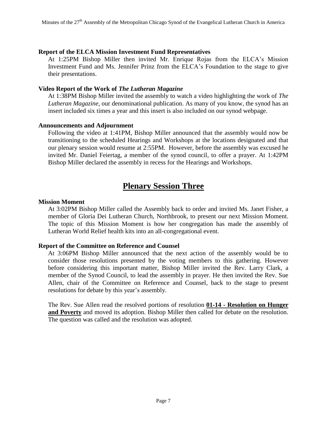#### **Report of the ELCA Mission Investment Fund Representatives**

At 1:25PM Bishop Miller then invited Mr. Enrique Rojas from the ELCA's Mission Investment Fund and Ms. Jennifer Prinz from the ELCA's Foundation to the stage to give their presentations.

#### **Video Report of the Work of** *The Lutheran Magazine*

At 1:38PM Bishop Miller invited the assembly to watch a video highlighting the work of *The Lutheran Magazine*, our denominational publication. As many of you know, the synod has an insert included six times a year and this insert is also included on our synod webpage.

#### **Announcements and Adjournment**

Following the video at 1:41PM, Bishop Miller announced that the assembly would now be transitioning to the scheduled Hearings and Workshops at the locations designated and that our plenary session would resume at 2:55PM. However, before the assembly was excused he invited Mr. Daniel Feiertag, a member of the synod council, to offer a prayer. At 1:42PM Bishop Miller declared the assembly in recess for the Hearings and Workshops.

### **Plenary Session Three**

#### **Mission Moment**

At 3:02PM Bishop Miller called the Assembly back to order and invited Ms. Janet Fisher, a member of Gloria Dei Lutheran Church, Northbrook, to present our next Mission Moment. The topic of this Mission Moment is how her congregation has made the assembly of Lutheran World Relief health kits into an all-congregational event.

#### **Report of the Committee on Reference and Counsel**

At 3:06PM Bishop Miller announced that the next action of the assembly would be to consider those resolutions presented by the voting members to this gathering. However before considering this important matter, Bishop Miller invited the Rev. Larry Clark, a member of the Synod Council, to lead the assembly in prayer. He then invited the Rev. Sue Allen, chair of the Committee on Reference and Counsel, back to the stage to present resolutions for debate by this year's assembly.

The Rev. Sue Allen read the resolved portions of resolution **01-14 - Resolution on Hunger and Poverty** and moved its adoption. Bishop Miller then called for debate on the resolution. The question was called and the resolution was adopted.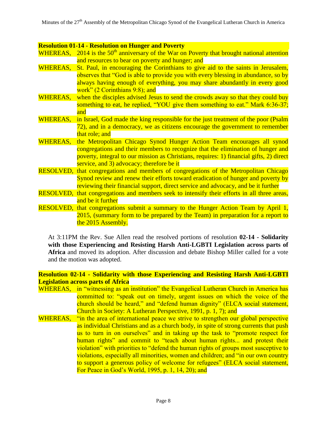#### **Resolution 01-14 - Resolution on Hunger and Poverty**

WHEREAS,  $2014$  is the  $50<sup>th</sup>$  anniversary of the War on Poverty that brought national attention and resources to bear on poverty and hunger; and

- WHEREAS, St. Paul, in encouraging the Corinthians to give aid to the saints in Jerusalem, observes that "God is able to provide you with every blessing in abundance, so by always having enough of everything, you may share abundantly in every good work" (2 Corinthians 9:8); and
- WHEREAS, when the disciples advised Jesus to send the crowds away so that they could buy something to eat, he replied, "YOU give them something to eat." Mark 6:36-37; and
- WHEREAS, in Israel, God made the king responsible for the just treatment of the poor (Psalm 72), and in a democracy, we as citizens encourage the government to remember that role; and
- WHEREAS, the Metropolitan Chicago Synod Hunger Action Team encourages all synod congregations and their members to recognize that the elimination of hunger and poverty, integral to our mission as Christians, requires: 1) financial gifts, 2) direct service, and 3) advocacy; therefore be it
- RESOLVED, that congregations and members of congregations of the Metropolitan Chicago Synod review and renew their efforts toward eradication of hunger and poverty by reviewing their financial support, direct service and advocacy, and be it further
- RESOLVED, that congregations and members seek to intensify their efforts in all three areas, and be it further
- RESOLVED, that congregations submit a summary to the Hunger Action Team by April 1, 2015, (summary form to be prepared by the Team) in preparation for a report to the 2015 Assembly.

At 3:11PM the Rev. Sue Allen read the resolved portions of resolution **02-14 - Solidarity with those Experiencing and Resisting Harsh Anti-LGBTI Legislation across parts of Africa** and moved its adoption. After discussion and debate Bishop Miller called for a vote and the motion was adopted.

**Resolution 02-14 - Solidarity with those Experiencing and Resisting Harsh Anti-LGBTI Legislation across parts of Africa**

WHEREAS, in "witnessing as an institution" the Evangelical Lutheran Church in America has committed to: "speak out on timely, urgent issues on which the voice of the church should be heard," and "defend human dignity" (ELCA social statement, Church in Society: A Lutheran Perspective, 1991, p. 1, 7); and WHEREAS, "in the area of international peace we strive to strengthen our global perspective as individual Christians and as a church body, in spite of strong currents that push us to turn in on ourselves" and in taking up the task to "promote respect for human rights" and commit to "teach about human rights... and protest their violation" with priorities to "defend the human rights of groups most susceptive to violations, especially all minorities, women and children; and "in our own country to support a generous policy of welcome for refugees" (ELCA social statement, For Peace in God's World, 1995, p. 1, 14, 20); and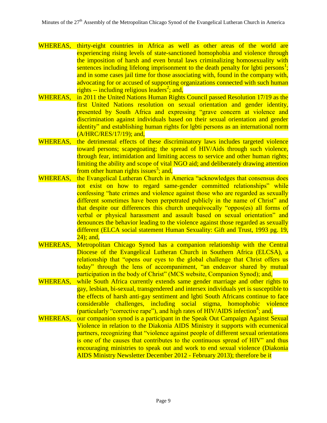- WHEREAS, thirty-eight countries in Africa as well as other areas of the world are experiencing rising levels of state-sanctioned homophobia and violence through the imposition of harsh and even brutal laws criminalizing homosexuality with sentences including lifelong imprisonment to the death penalty for lgbti persons<sup>1</sup>; and in some cases jail time for those associating with, found in the company with, advocating for or accused of supporting organizations connected with such human rights  $-$  including religious leaders<sup>2</sup>; and,
- WHEREAS, in 2011 the United Nations Human Rights Council passed Resolution 17/19 as the first United Nations resolution on sexual orientation and gender identity, presented by South Africa and expressing "grave concern at violence and discrimination against individuals based on their sexual orientation and gender identity" and establishing human rights for lgbti persons as an international norm (A/HRC/RES/17/19); and,
- WHEREAS, the detrimental effects of these discriminatory laws includes targeted violence toward persons; scapegoating; the spread of HIV/Aids through such violence, through fear, intimidation and limiting access to service and other human rights; limiting the ability and scope of vital NGO aid; and deliberately drawing attention from other human rights issues<sup>3</sup>; and,
- WHEREAS, the Evangelical Lutheran Church in America "acknowledges that consensus does not exist on how to regard same-gender committed relationships" while confessing "hate crimes and violence against those who are regarded as sexually different sometimes have been perpetrated publicly in the name of Christ" and that despite our differences this church unequivocally "oppos(es) all forms of verbal or physical harassment and assault based on sexual orientation" and denounces the behavior leading to the violence against those regarded as sexually different (ELCA social statement Human Sexuality: Gift and Trust, 1993 pg. 19, 24); and,
- WHEREAS, Metropolitan Chicago Synod has a companion relationship with the Central Diocese of the Evangelical Lutheran Church in Southern Africa (ELCSA), a relationship that "opens our eyes to the global challenge that Christ offers us today" through the lens of accompaniment, "an endeavor shared by mutual participation in the body of Christ" (MCS website, Companion Synod); and,
- WHEREAS, while South Africa currently extends same gender marriage and other rights to gay, lesbian, bi-sexual, transgendered and intersex individuals yet is susceptible to the effects of harsh anti-gay sentiment and lgbti South Africans continue to face considerable challenges, including social stigma, homophobic violence (particularly "corrective rape"), and high rates of  $\overline{HIV/ALDS}$  infection<sup>4</sup>; and,
- WHEREAS, our companion synod is a participant in the Speak Out Campaign Against Sexual Violence in relation to the Diakonia AIDS Ministry it supports with ecumenical partners, recognizing that "violence against people of different sexual orientations is one of the causes that contributes to the continuous spread of HIV" and thus encouraging ministries to speak out and work to end sexual violence (Diakonia AIDS Ministry Newsletter December 2012 - February 2013); therefore be it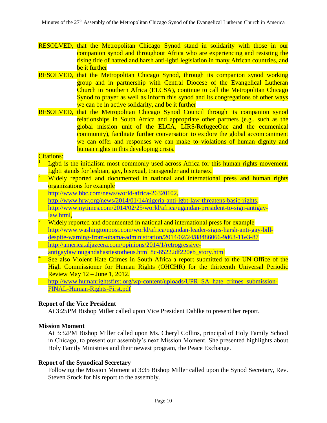- RESOLVED, that the Metropolitan Chicago Synod stand in solidarity with those in our companion synod and throughout Africa who are experiencing and resisting the rising tide of hatred and harsh anti-lgbti legislation in many African countries, and be it further
- RESOLVED, that the Metropolitan Chicago Synod, through its companion synod working group and in partnership with Central Diocese of the Evangelical Lutheran Church in Southern Africa (ELCSA), continue to call the Metropolitan Chicago Synod to prayer as well as inform this synod and its congregations of other ways we can be in active solidarity, and be it further
- RESOLVED, that the Metropolitan Chicago Synod Council through its companion synod relationships in South Africa and appropriate other partners (e.g., such as the global mission unit of the ELCA, LIRS/RefugeeOne and the ecumenical community), facilitate further conversation to explore the global accompaniment we can offer and responses we can make to violations of human dignity and human rights in this developing crisis.

#### Citations: 1

- Lgbti is the initialism most commonly used across Africa for this human rights movement. Lgbti stands for lesbian, gay, bisexual, transgender and intersex.
- <sup>2</sup> Widely reported and documented in national and international press and human rights organizations for example
	- [http://www.bbc.com/news/world-africa-26320102,](http://www.bbc.com/news/world-africa-26320102)
	- [http://www.hrw.org/news/2014/01/14/nigeria-anti-lgbt-law-threatens-basic-rights,](http://www.hrw.org/news/2014/01/14/nigeria-anti-lgbt-law-threatens-basic-rights)
	- [http://www.nytimes.com/2014/02/25/world/africa/ugandan-president-to-sign-antigay](http://www.nytimes.com/2014/02/25/world/africa/ugandan-president-to-sign-antigay-law.html)[law.html,](http://www.nytimes.com/2014/02/25/world/africa/ugandan-president-to-sign-antigay-law.html)
- <sup>3</sup> Widely reported and documented in national and international press for example [http://www.washingtonpost.com/world/africa/ugandan-leader-signs-harsh-anti-gay-bill](http://www.washingtonpost.com/world/africa/ugandan-leader-signs-harsh-anti-gay-bill-despite-warning-from-obama-administration/2014/02/24/88486066-9d63-11e3-87)[despite-warning-from-obama-administration/2014/02/24/88486066-9d63-11e3-87](http://www.washingtonpost.com/world/africa/ugandan-leader-signs-harsh-anti-gay-bill-despite-warning-from-obama-administration/2014/02/24/88486066-9d63-11e3-87) [http://america.aljazeera.com/opinions/2014/1/retrogressive](http://america.aljazeera.com/opinions/2014/1/retrogressive-antigaylawinugandahastiestotheus.html%208c-65222df220eb_story.html)[antigaylawinugandahastiestotheus.html 8c-65222df220eb\\_story.html](http://america.aljazeera.com/opinions/2014/1/retrogressive-antigaylawinugandahastiestotheus.html%208c-65222df220eb_story.html)
- 4 See also Violent Hate Crimes in South Africa a report submitted to the UN Office of the High Commissioner for Human Rights (OHCHR) for the thirteenth Universal Periodic Review May 12 – June 1, 2012.

[http://www.humanrightsfirst.org/wp-content/uploads/UPR\\_SA\\_hate\\_crimes\\_submission-](http://www.humanrightsfirst.org/wp-content/uploads/UPR_SA_hate_crimes_submission-FINAL-Human-Rights-First.pdf)[FINAL-Human-Rights-First.pdf](http://www.humanrightsfirst.org/wp-content/uploads/UPR_SA_hate_crimes_submission-FINAL-Human-Rights-First.pdf)

#### **Report of the Vice President**

At 3:25PM Bishop Miller called upon Vice President Dahlke to present her report.

#### **Mission Moment**

At 3:32PM Bishop Miller called upon Ms. Cheryl Collins, principal of Holy Family School in Chicago, to present our assembly's next Mission Moment. She presented highlights about Holy Family Ministries and their newest program, the Peace Exchange.

#### **Report of the Synodical Secretary**

Following the Mission Moment at 3:35 Bishop Miller called upon the Synod Secretary, Rev. Steven Srock for his report to the assembly.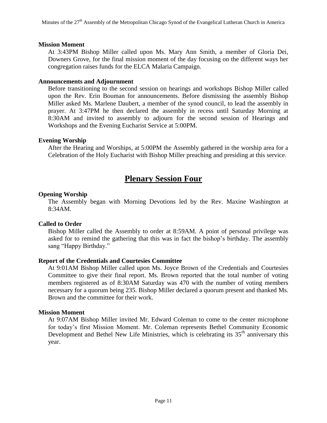#### **Mission Moment**

At 3:43PM Bishop Miller called upon Ms. Mary Ann Smith, a member of Gloria Dei, Downers Grove, for the final mission moment of the day focusing on the different ways her congregation raises funds for the ELCA Malaria Campaign.

#### **Announcements and Adjournment**

Before transitioning to the second session on hearings and workshops Bishop Miller called upon the Rev. Erin Bouman for announcements. Before dismissing the assembly Bishop Miller asked Ms. Marlene Daubert, a member of the synod council, to lead the assembly in prayer. At 3:47PM he then declared the assembly in recess until Saturday Morning at 8:30AM and invited to assembly to adjourn for the second session of Hearings and Workshops and the Evening Eucharist Service at 5:00PM.

#### **Evening Worship**

After the Hearing and Worships, at 5:00PM the Assembly gathered in the worship area for a Celebration of the Holy Eucharist with Bishop Miller preaching and presiding at this service.

### **Plenary Session Four**

#### **Opening Worship**

The Assembly began with Morning Devotions led by the Rev. Maxine Washington at 8:34AM.

### **Called to Order**

Bishop Miller called the Assembly to order at 8:59AM. A point of personal privilege was asked for to remind the gathering that this was in fact the bishop's birthday. The assembly sang "Happy Birthday."

#### **Report of the Credentials and Courtesies Committee**

At 9:01AM Bishop Miller called upon Ms. Joyce Brown of the Credentials and Courtesies Committee to give their final report. Ms. Brown reported that the total number of voting members registered as of 8:30AM Saturday was 470 with the number of voting members necessary for a quorum being 235. Bishop Miller declared a quorum present and thanked Ms. Brown and the committee for their work.

#### **Mission Moment**

At 9:07AM Bishop Miller invited Mr. Edward Coleman to come to the center microphone for today's first Mission Moment. Mr. Coleman represents Bethel Community Economic Development and Bethel New Life Ministries, which is celebrating its 35<sup>th</sup> anniversary this year.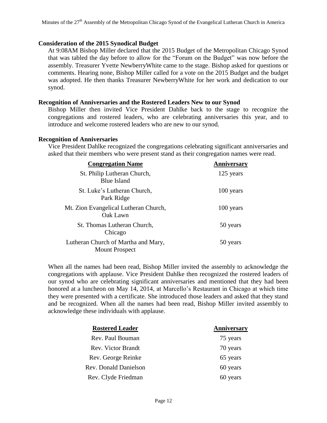#### **Consideration of the 2015 Synodical Budget**

At 9:08AM Bishop Miller declared that the 2015 Budget of the Metropolitan Chicago Synod that was tabled the day before to allow for the "Forum on the Budget" was now before the assembly. Treasurer Yvette NewberryWhite came to the stage. Bishop asked for questions or comments. Hearing none, Bishop Miller called for a vote on the 2015 Budget and the budget was adopted. He then thanks Treasurer NewberryWhite for her work and dedication to our synod.

#### **Recognition of Anniversaries and the Rostered Leaders New to our Synod**

Bishop Miller then invited Vice President Dahlke back to the stage to recognize the congregations and rostered leaders, who are celebrating anniversaries this year, and to introduce and welcome rostered leaders who are new to our synod.

#### **Recognition of Anniversaries**

Vice President Dahlke recognized the congregations celebrating significant anniversaries and asked that their members who were present stand as their congregation names were read.

| <b>Congregation Name</b>                                     | Anniversary |
|--------------------------------------------------------------|-------------|
| St. Philip Lutheran Church,<br><b>Blue Island</b>            | 125 years   |
| St. Luke's Lutheran Church,<br>Park Ridge                    | 100 years   |
| Mt. Zion Evangelical Lutheran Church,<br>Oak Lawn            | 100 years   |
| St. Thomas Lutheran Church,<br>Chicago                       | 50 years    |
| Lutheran Church of Martha and Mary,<br><b>Mount Prospect</b> | 50 years    |

When all the names had been read, Bishop Miller invited the assembly to acknowledge the congregations with applause. Vice President Dahlke then recognized the rostered leaders of our synod who are celebrating significant anniversaries and mentioned that they had been honored at a luncheon on May 14, 2014, at Marcello's Restaurant in Chicago at which time they were presented with a certificate. She introduced those leaders and asked that they stand and be recognized. When all the names had been read, Bishop Miller invited assembly to acknowledge these individuals with applause.

| <b>Rostered Leader</b> | Anniversary |
|------------------------|-------------|
| Rev. Paul Bouman       | 75 years    |
| Rev. Victor Brandt     | 70 years    |
| Rev. George Reinke     | 65 years    |
| Rev. Donald Danielson  | 60 years    |
| Rev. Clyde Friedman    | 60 years    |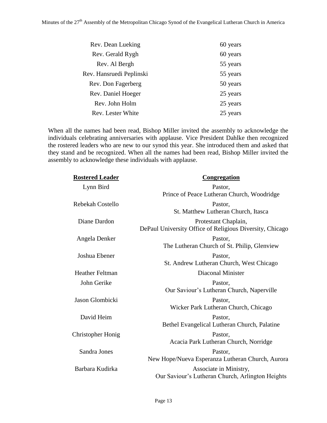| Rev. Dean Lueking        | 60 years |
|--------------------------|----------|
| Rev. Gerald Rygh         | 60 years |
| Rev. Al Bergh            | 55 years |
| Rev. Hansruedi Peplinski | 55 years |
| Rev. Don Fagerberg       | 50 years |
| Rev. Daniel Hoeger       | 25 years |
| Rev. John Holm           | 25 years |
| Rev. Lester White        | 25 years |

When all the names had been read, Bishop Miller invited the assembly to acknowledge the individuals celebrating anniversaries with applause. Vice President Dahlke then recognized the rostered leaders who are new to our synod this year. She introduced them and asked that they stand and be recognized. When all the names had been read, Bishop Miller invited the assembly to acknowledge these individuals with applause.

| <b>Rostered Leader</b>   | Congregation                                             |
|--------------------------|----------------------------------------------------------|
| Lynn Bird                | Pastor,                                                  |
|                          | Prince of Peace Lutheran Church, Woodridge               |
| Rebekah Costello         | Pastor,                                                  |
|                          | St. Matthew Lutheran Church, Itasca                      |
| Diane Dardon             | Protestant Chaplain,                                     |
|                          | DePaul University Office of Religious Diversity, Chicago |
| Angela Denker            | Pastor,                                                  |
|                          | The Lutheran Church of St. Philip, Glenview              |
| Joshua Ebener            | Pastor,                                                  |
|                          | St. Andrew Lutheran Church, West Chicago                 |
| <b>Heather Feltman</b>   | Diaconal Minister                                        |
| John Gerike              | Pastor,                                                  |
|                          | Our Saviour's Lutheran Church, Naperville                |
| Jason Glombicki          | Pastor,                                                  |
|                          | Wicker Park Lutheran Church, Chicago                     |
| David Heim               | Pastor,                                                  |
|                          | Bethel Evangelical Lutheran Church, Palatine             |
| <b>Christopher Honig</b> | Pastor,                                                  |
|                          | Acacia Park Lutheran Church, Norridge                    |
| Sandra Jones             | Pastor,                                                  |
|                          | New Hope/Nueva Esperanza Lutheran Church, Aurora         |
| Barbara Kudirka          | Associate in Ministry,                                   |
|                          | Our Saviour's Lutheran Church, Arlington Heights         |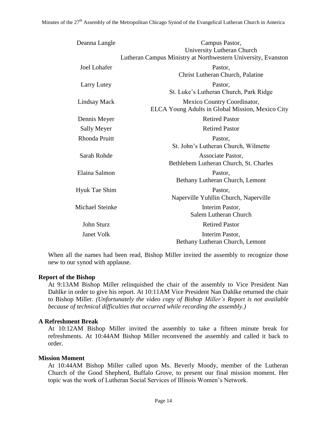| Deanna Langle          | Campus Pastor,<br>University Lutheran Church                                    |
|------------------------|---------------------------------------------------------------------------------|
|                        | Lutheran Campus Ministry at Northwestern University, Evanston                   |
| <b>Joel Lohafer</b>    | Pastor,<br>Christ Lutheran Church, Palatine                                     |
| Larry Lutey            | Pastor,<br>St. Luke's Lutheran Church, Park Ridge                               |
| Lindsay Mack           | Mexico Country Coordinator,<br>ELCA Young Adults in Global Mission, Mexico City |
| Dennis Meyer           | <b>Retired Pastor</b>                                                           |
| <b>Sally Meyer</b>     | <b>Retired Pastor</b>                                                           |
| <b>Rhonda Pruitt</b>   | Pastor,<br>St. John's Lutheran Church, Wilmette                                 |
| Sarah Rohde            | Associate Pastor,<br>Bethlehem Lutheran Church, St. Charles                     |
| Elaina Salmon          | Pastor,<br>Bethany Lutheran Church, Lemont                                      |
| <b>Hyuk Tae Shim</b>   | Pastor,<br>Naperville Yuhllin Church, Naperville                                |
| <b>Michael Steinke</b> | Interim Pastor,<br>Salem Lutheran Church                                        |
| John Sturz             | <b>Retired Pastor</b>                                                           |
| <b>Janet Volk</b>      | Interim Pastor,<br>Bethany Lutheran Church, Lemont                              |

When all the names had been read, Bishop Miller invited the assembly to recognize those new to our synod with applause.

#### **Report of the Bishop**

At 9:13AM Bishop Miller relinquished the chair of the assembly to Vice President Nan Dahlke in order to give his report. At 10:11AM Vice President Nan Dahlke returned the chair to Bishop Miller. *(Unfortunately the video copy of Bishop Miller's Report is not available because of technical difficulties that occurred while recording the assembly.)*

### **A Refreshment Break**

At 10:12AM Bishop Miller invited the assembly to take a fifteen minute break for refreshments. At 10:44AM Bishop Miller reconvened the assembly and called it back to order.

### **Mission Moment**

At 10:44AM Bishop Miller called upon Ms. Beverly Moody, member of the Lutheran Church of the Good Shepherd, Buffalo Grove, to present our final mission moment. Her topic was the work of Lutheran Social Services of Illinois Women's Network.